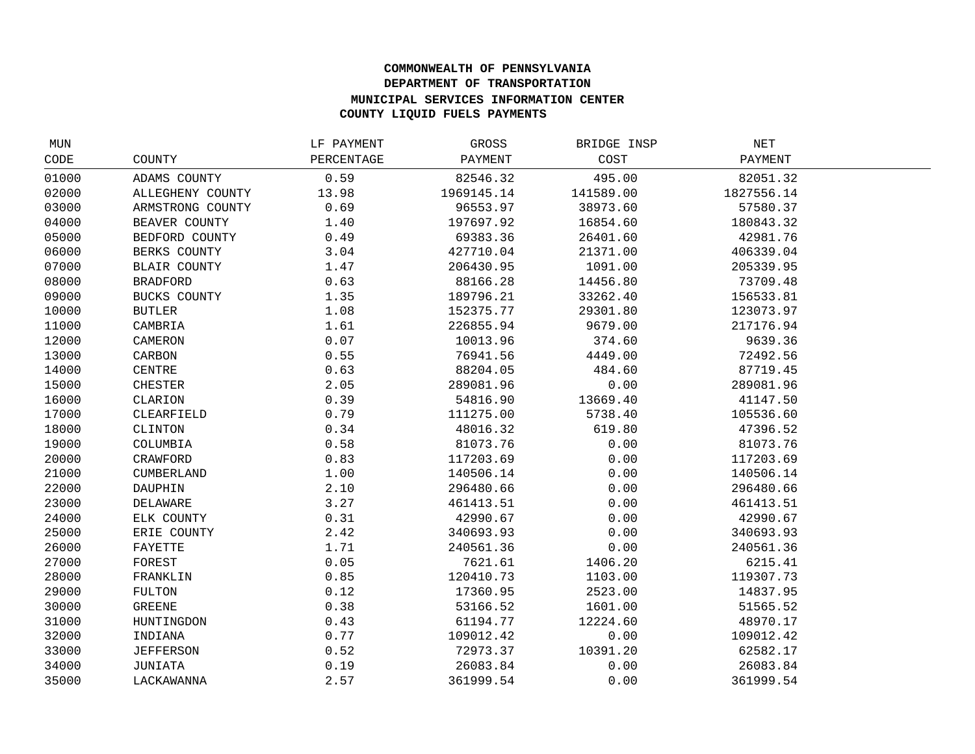## **COMMONWEALTH OF PENNSYLVANIA DEPARTMENT OF TRANSPORTATION MUNICIPAL SERVICES INFORMATION CENTER COUNTY LIQUID FUELS PAYMENTS**

| MUN   |                     | LF PAYMENT | GROSS      | BRIDGE INSP | NET        |  |
|-------|---------------------|------------|------------|-------------|------------|--|
| CODE  | COUNTY              | PERCENTAGE | PAYMENT    | COST        | PAYMENT    |  |
| 01000 | ADAMS COUNTY        | 0.59       | 82546.32   | 495.00      | 82051.32   |  |
| 02000 | ALLEGHENY COUNTY    | 13.98      | 1969145.14 | 141589.00   | 1827556.14 |  |
| 03000 | ARMSTRONG COUNTY    | 0.69       | 96553.97   | 38973.60    | 57580.37   |  |
| 04000 | BEAVER COUNTY       | 1.40       | 197697.92  | 16854.60    | 180843.32  |  |
| 05000 | BEDFORD COUNTY      | 0.49       | 69383.36   | 26401.60    | 42981.76   |  |
| 06000 | BERKS COUNTY        | 3.04       | 427710.04  | 21371.00    | 406339.04  |  |
| 07000 | <b>BLAIR COUNTY</b> | 1.47       | 206430.95  | 1091.00     | 205339.95  |  |
| 08000 | <b>BRADFORD</b>     | 0.63       | 88166.28   | 14456.80    | 73709.48   |  |
| 09000 | BUCKS COUNTY        | 1.35       | 189796.21  | 33262.40    | 156533.81  |  |
| 10000 | <b>BUTLER</b>       | 1.08       | 152375.77  | 29301.80    | 123073.97  |  |
| 11000 | CAMBRIA             | 1.61       | 226855.94  | 9679.00     | 217176.94  |  |
| 12000 | CAMERON             | 0.07       | 10013.96   | 374.60      | 9639.36    |  |
| 13000 | CARBON              | 0.55       | 76941.56   | 4449.00     | 72492.56   |  |
| 14000 | CENTRE              | 0.63       | 88204.05   | 484.60      | 87719.45   |  |
| 15000 | <b>CHESTER</b>      | 2.05       | 289081.96  | 0.00        | 289081.96  |  |
| 16000 | CLARION             | 0.39       | 54816.90   | 13669.40    | 41147.50   |  |
| 17000 | CLEARFIELD          | 0.79       | 111275.00  | 5738.40     | 105536.60  |  |
| 18000 | CLINTON             | 0.34       | 48016.32   | 619.80      | 47396.52   |  |
| 19000 | COLUMBIA            | 0.58       | 81073.76   | 0.00        | 81073.76   |  |
| 20000 | CRAWFORD            | 0.83       | 117203.69  | 0.00        | 117203.69  |  |
| 21000 | CUMBERLAND          | 1.00       | 140506.14  | 0.00        | 140506.14  |  |
| 22000 | DAUPHIN             | 2.10       | 296480.66  | 0.00        | 296480.66  |  |
| 23000 | DELAWARE            | 3.27       | 461413.51  | 0.00        | 461413.51  |  |
| 24000 | ELK COUNTY          | 0.31       | 42990.67   | 0.00        | 42990.67   |  |
| 25000 | ERIE COUNTY         | 2.42       | 340693.93  | 0.00        | 340693.93  |  |
| 26000 | FAYETTE             | 1.71       | 240561.36  | 0.00        | 240561.36  |  |
| 27000 | FOREST              | 0.05       | 7621.61    | 1406.20     | 6215.41    |  |
| 28000 | FRANKLIN            | 0.85       | 120410.73  | 1103.00     | 119307.73  |  |
| 29000 | FULTON              | 0.12       | 17360.95   | 2523.00     | 14837.95   |  |
| 30000 | <b>GREENE</b>       | 0.38       | 53166.52   | 1601.00     | 51565.52   |  |
| 31000 | HUNTINGDON          | 0.43       | 61194.77   | 12224.60    | 48970.17   |  |
| 32000 | INDIANA             | 0.77       | 109012.42  | 0.00        | 109012.42  |  |
| 33000 | <b>JEFFERSON</b>    | 0.52       | 72973.37   | 10391.20    | 62582.17   |  |
| 34000 | JUNIATA             | 0.19       | 26083.84   | 0.00        | 26083.84   |  |
| 35000 | LACKAWANNA          | 2.57       | 361999.54  | 0.00        | 361999.54  |  |